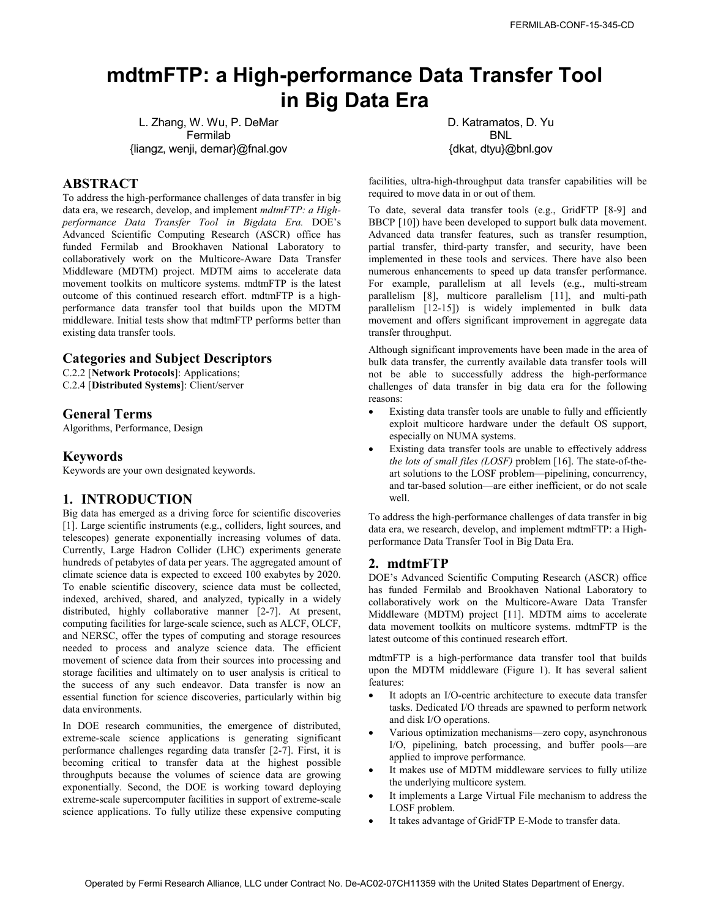# **mdtmFTP: a High-performance Data Transfer Tool in Big Data Era**

L. Zhang, W. Wu, P. DeMar Fermilab {liangz, wenji, demar}@fnal.gov

## **ABSTRACT**

To address the high-performance challenges of data transfer in big data era, we research, develop, and implement *mdtmFTP: a Highperformance Data Transfer Tool in Bigdata Era.* DOE's Advanced Scientific Computing Research (ASCR) office has funded Fermilab and Brookhaven National Laboratory to collaboratively work on the Multicore-Aware Data Transfer Middleware (MDTM) project. MDTM aims to accelerate data movement toolkits on multicore systems. mdtmFTP is the latest outcome of this continued research effort. mdtmFTP is a highperformance data transfer tool that builds upon the MDTM middleware. Initial tests show that mdtmFTP performs better than existing data transfer tools.

## **Categories and Subject Descriptors**

C.2.2 [**Network Protocols**]: Applications; C.2.4 [**Distributed Systems**]: Client/server

## **General Terms**

Algorithms, Performance, Design

## **Keywords**

Keywords are your own designated keywords.

#### **1. INTRODUCTION**

Big data has emerged as a driving force for scientific discoveries [1]. Large scientific instruments (e.g., colliders, light sources, and telescopes) generate exponentially increasing volumes of data. Currently, Large Hadron Collider (LHC) experiments generate hundreds of petabytes of data per years. The aggregated amount of climate science data is expected to exceed 100 exabytes by 2020. To enable scientific discovery, science data must be collected, indexed, archived, shared, and analyzed, typically in a widely distributed, highly collaborative manner [2-7]. At present, computing facilities for large-scale science, such as ALCF, OLCF, and NERSC, offer the types of computing and storage resources needed to process and analyze science data. The efficient movement of science data from their sources into processing and storage facilities and ultimately on to user analysis is critical to the success of any such endeavor. Data transfer is now an essential function for science discoveries, particularly within big data environments. FERMILA CHINESE TRIP **: A High-performance Data Transfer Tool**<br>
Lange W. Wulft-Defendent Contract Of the United States Department Contract Of the United States Department Of the United States Department Contract Contrac

In DOE research communities, the emergence of distributed, extreme-scale science applications is generating significant performance challenges regarding data transfer [2-7]. First, it is becoming critical to transfer data at the highest possible throughputs because the volumes of science data are growing exponentially. Second, the DOE is working toward deploying extreme-scale supercomputer facilities in support of extreme-scale science applications. To fully utilize these expensive computing D. Katramatos, D. Yu BNL {dkat, dtyu}@bnl.gov

facilities, ultra-high-throughput data transfer capabilities will be required to move data in or out of them.

To date, several data transfer tools (e.g., GridFTP [8-9] and BBCP [10]) have been developed to support bulk data movement. Advanced data transfer features, such as transfer resumption, partial transfer, third-party transfer, and security, have been implemented in these tools and services. There have also been numerous enhancements to speed up data transfer performance. For example, parallelism at all levels (e.g., multi-stream parallelism [8], multicore parallelism [11], and multi-path parallelism [12-15]) is widely implemented in bulk data movement and offers significant improvement in aggregate data transfer throughput.

Although significant improvements have been made in the area of bulk data transfer, the currently available data transfer tools will not be able to successfully address the high-performance challenges of data transfer in big data era for the following reasons:

- Existing data transfer tools are unable to fully and efficiently exploit multicore hardware under the default OS support, especially on NUMA systems.
- Existing data transfer tools are unable to effectively address *the lots of small files (LOSF)* problem [16]. The state-of-theart solutions to the LOSF problem—pipelining, concurrency, and tar-based solution—are either inefficient, or do not scale well.

To address the high-performance challenges of data transfer in big data era, we research, develop, and implement mdtmFTP: a Highperformance Data Transfer Tool in Big Data Era.

#### **2. mdtmFTP**

DOE's Advanced Scientific Computing Research (ASCR) office has funded Fermilab and Brookhaven National Laboratory to collaboratively work on the Multicore-Aware Data Transfer Middleware (MDTM) project [11]. MDTM aims to accelerate data movement toolkits on multicore systems. mdtmFTP is the latest outcome of this continued research effort.

mdtmFTP is a high-performance data transfer tool that builds upon the MDTM middleware (Figure 1). It has several salient features:

- It adopts an I/O-centric architecture to execute data transfer tasks. Dedicated I/O threads are spawned to perform network and disk I/O operations.
- Various optimization mechanisms—zero copy, asynchronous I/O, pipelining, batch processing, and buffer pools—are applied to improve performance.
- It makes use of MDTM middleware services to fully utilize the underlying multicore system.
- It implements a Large Virtual File mechanism to address the LOSF problem.
- It takes advantage of GridFTP E-Mode to transfer data.